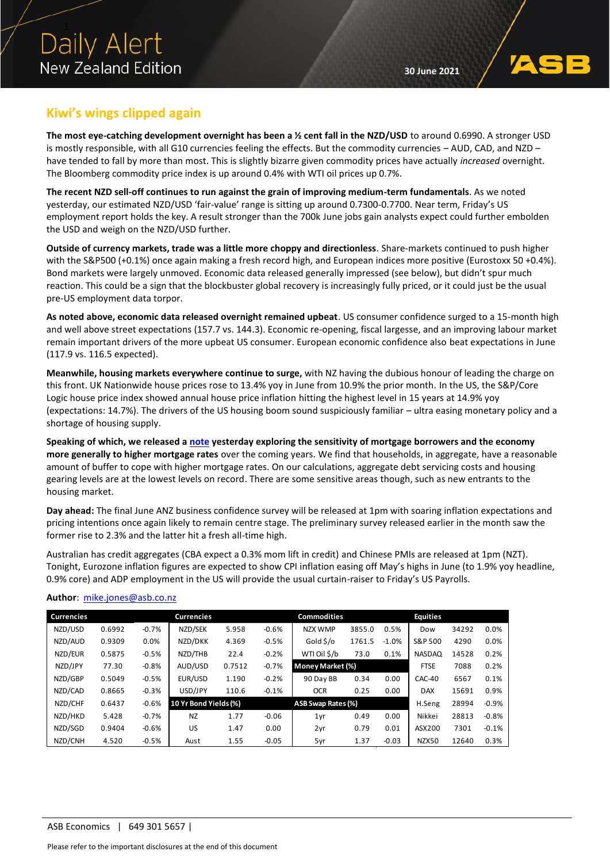

### **Kiwi's wings clipped again**

**The most eye-catching development overnight has been a ½ cent fall in the NZD/USD** to around 0.6990. A stronger USD is mostly responsible, with all G10 currencies feeling the effects. But the commodity currencies – AUD, CAD, and NZD – have tended to fall by more than most. This is slightly bizarre given commodity prices have actually *increased* overnight. The Bloomberg commodity price index is up around 0.4% with WTI oil prices up 0.7%.

**The recent NZD sell-off continues to run against the grain of improving medium-term fundamentals**. As we noted yesterday, our estimated NZD/USD 'fair-value' range is sitting up around 0.7300-0.7700. Near term, Friday's US employment report holds the key. A result stronger than the 700k June jobs gain analysts expect could further embolden the USD and weigh on the NZD/USD further.

**Outside of currency markets, trade was a little more choppy and directionless**. Share-markets continued to push higher with the S&P500 (+0.1%) once again making a fresh record high, and European indices more positive (Eurostoxx 50 +0.4%). Bond markets were largely unmoved. Economic data released generally impressed (see below), but didn't spur much reaction. This could be a sign that the blockbuster global recovery is increasingly fully priced, or it could just be the usual pre-US employment data torpor.

**As noted above, economic data released overnight remained upbeat**. US consumer confidence surged to a 15-month high and well above street expectations (157.7 vs. 144.3). Economic re-opening, fiscal largesse, and an improving labour market remain important drivers of the more upbeat US consumer. European economic confidence also beat expectations in June (117.9 vs. 116.5 expected).

**Meanwhile, housing markets everywhere continue to surge,** with NZ having the dubious honour of leading the charge on this front. UK Nationwide house prices rose to 13.4% yoy in June from 10.9% the prior month. In the US, the S&P/Core Logic house price index showed annual house price inflation hitting the highest level in 15 years at 14.9% yoy (expectations: 14.7%). The drivers of the US housing boom sound suspiciously familiar – ultra easing monetary policy and a shortage of housing supply.

**Speaking of which, we released a [note](https://www.asb.co.nz/content/dam/asb/documents/reports/economic-note/Housing_mortgage%20rates.pdf) yesterday exploring the sensitivity of mortgage borrowers and the economy more generally to higher mortgage rates** over the coming years. We find that households, in aggregate, have a reasonable amount of buffer to cope with higher mortgage rates. On our calculations, aggregate debt servicing costs and housing gearing levels are at the lowest levels on record. There are some sensitive areas though, such as new entrants to the housing market.

**Day ahead:** The final June ANZ business confidence survey will be released at 1pm with soaring inflation expectations and pricing intentions once again likely to remain centre stage. The preliminary survey released earlier in the month saw the former rise to 2.3% and the latter hit a fresh all-time high.

Australian has credit aggregates (CBA expect a 0.3% mom lift in credit) and Chinese PMIs are released at 1pm (NZT). Tonight, Eurozone inflation figures are expected to show CPI inflation easing off May's highs in June (to 1.9% yoy headline, 0.9% core) and ADP employment in the US will provide the usual curtain-raiser to Friday's US Payrolls.

#### **Author**: mike.jone[s@asb.co.nz](mailto:chris.tennent-brown@asb.co.nz)

| <b>Currencies</b> |        |         | <b>Currencies</b>     |        |         | <b>Commodities</b> |        |             | <b>Equities</b> |       |         |
|-------------------|--------|---------|-----------------------|--------|---------|--------------------|--------|-------------|-----------------|-------|---------|
| NZD/USD           | 0.6992 | $-0.7%$ | NZD/SEK               | 5.958  | $-0.6%$ | NZX WMP            | 3855.0 | 0.5%        | Dow             | 34292 | 0.0%    |
| NZD/AUD           | 0.9309 | 0.0%    | NZD/DKK               | 4.369  | $-0.5%$ | Gold \$/o          | 1761.5 | $-1.0%$     | S&P 500         | 4290  | 0.0%    |
| NZD/EUR           | 0.5875 | $-0.5%$ | NZD/THB               | 22.4   | $-0.2%$ | WTI Oil \$/b       | 73.0   | 0.1%        | <b>NASDAQ</b>   | 14528 | 0.2%    |
| NZD/JPY           | 77.30  | $-0.8%$ | AUD/USD               | 0.7512 | $-0.7%$ | Money Market (%)   |        | <b>FTSE</b> | 7088            | 0.2%  |         |
| NZD/GBP           | 0.5049 | $-0.5%$ | EUR/USD               | 1.190  | $-0.2%$ | 90 Day BB          | 0.34   | 0.00        | CAC-40          | 6567  | 0.1%    |
| NZD/CAD           | 0.8665 | $-0.3%$ | USD/JPY               | 110.6  | $-0.1%$ | <b>OCR</b>         | 0.25   | 0.00        | <b>DAX</b>      | 15691 | 0.9%    |
| NZD/CHF           | 0.6437 | $-0.6%$ | 10 Yr Bond Yields (%) |        |         | ASB Swap Rates (%) |        |             | H.Seng          | 28994 | $-0.9%$ |
| NZD/HKD           | 5.428  | $-0.7%$ | <b>NZ</b>             | 1.77   | $-0.06$ | 1yr                | 0.49   | 0.00        | Nikkei          | 28813 | $-0.8%$ |
| NZD/SGD           | 0.9404 | $-0.6%$ | US                    | 1.47   | 0.00    | 2yr                | 0.79   | 0.01        | ASX200          | 7301  | $-0.1%$ |
| NZD/CNH           | 4.520  | $-0.5%$ | Aust                  | 1.55   | $-0.05$ | 5yr                | 1.37   | $-0.03$     | NZX50           | 12640 | 0.3%    |